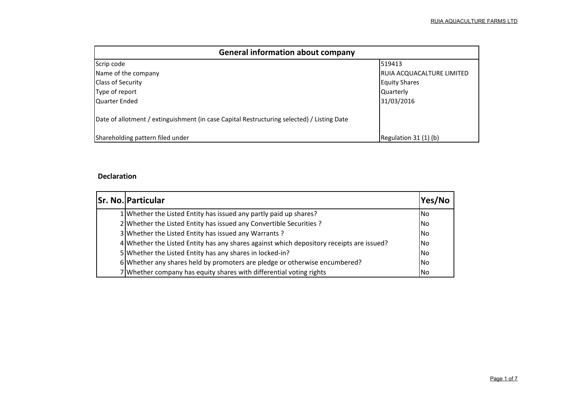| <b>General information about company</b>                                                   |                           |
|--------------------------------------------------------------------------------------------|---------------------------|
| Scrip code                                                                                 | 519413                    |
| Name of the company                                                                        | RUIA ACQUACALTURE LIMITED |
| <b>Class of Security</b>                                                                   | <b>Equity Shares</b>      |
| Type of report                                                                             | <b>Quarterly</b>          |
| Quarter Ended                                                                              | 31/03/2016                |
| Date of allotment / extinguishment (in case Capital Restructuring selected) / Listing Date |                           |
| Shareholding pattern filed under                                                           | Regulation 31 (1) (b)     |

# **Declaration**

| <b>Sr. No. Particular</b>                                                                | Yes/No    |
|------------------------------------------------------------------------------------------|-----------|
| 1 Whether the Listed Entity has issued any partly paid up shares?                        | lNo       |
| 2 Whether the Listed Entity has issued any Convertible Securities ?                      | No        |
| 3 Whether the Listed Entity has issued any Warrants?                                     | lNo       |
| 4 Whether the Listed Entity has any shares against which depository receipts are issued? | No        |
| 5 Whether the Listed Entity has any shares in locked-in?                                 | No        |
| 6 Whether any shares held by promoters are pledge or otherwise encumbered?               | <b>No</b> |
| 7 Whether company has equity shares with differential voting rights                      | No        |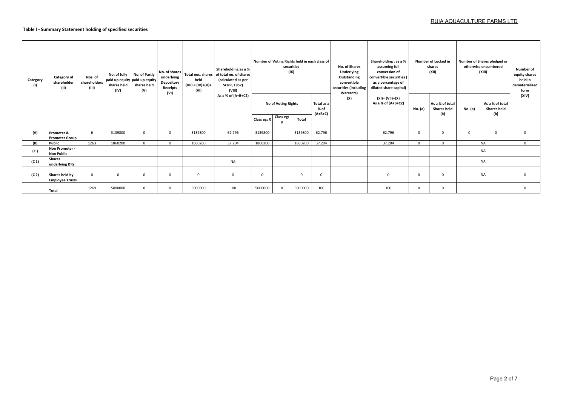## **Table I - Summary Statement holding of specified securities**

| Category<br>(1)   | Category of<br>shareholder<br>(II)             | Nos. of<br>shareholders<br>(III) | No. of fully<br>shares held<br>(IV) | No. of Partly<br>paid up equity paid-up equity<br>shares held<br>(V) | No. of shares<br>underlying<br>Depository<br>Receipts<br>(VI) | held<br>$(VII) = (IV)+(V)+$<br>(VI) | Shareholding as a %<br>Total nos. shares of total no. of shares<br>(calculated as per<br><b>SCRR, 1957)</b><br>(VIII) |             |                                         | Number of Voting Rights held in each class of<br>securities<br>(IX) |                                 | No. of Shares<br>Underlying<br>Outstanding<br>convertible<br>securities (including<br><b>Warrants)</b> | Shareholding, as a %<br>assuming full<br>conversion of<br>convertible securities (<br>as a percentage of<br>diluted share capital) |              | Number of Locked in<br>shares<br>(XII)       |             | Number of Shares pledged or<br>otherwise encumbered<br>(XIII) | Number of<br>equity shares<br>held in<br>dematerialized<br>form |
|-------------------|------------------------------------------------|----------------------------------|-------------------------------------|----------------------------------------------------------------------|---------------------------------------------------------------|-------------------------------------|-----------------------------------------------------------------------------------------------------------------------|-------------|-----------------------------------------|---------------------------------------------------------------------|---------------------------------|--------------------------------------------------------------------------------------------------------|------------------------------------------------------------------------------------------------------------------------------------|--------------|----------------------------------------------|-------------|---------------------------------------------------------------|-----------------------------------------------------------------|
|                   |                                                |                                  |                                     |                                                                      |                                                               |                                     | As a % of (A+B+C2)                                                                                                    |             | <b>No of Voting Rights</b><br>Class eg: |                                                                     | Total as a<br>% of<br>$(A+B+C)$ | (X)                                                                                                    | (XI)= (VII)+(X)<br>As a % of (A+B+C2)                                                                                              | No. (a)      | As a % of total<br><b>Shares held</b><br>(b) | No. (a)     | As a % of total<br><b>Shares held</b><br>(b)                  | (XIV)                                                           |
|                   |                                                |                                  |                                     |                                                                      |                                                               |                                     |                                                                                                                       | Class eg: X |                                         | Total                                                               |                                 |                                                                                                        |                                                                                                                                    |              |                                              |             |                                                               |                                                                 |
| (A)               | <b>Promoter &amp;</b><br><b>Promoter Group</b> | 6                                | 3139800                             | $\overline{0}$                                                       | $\mathbf 0$                                                   | 3139800                             | 62.796                                                                                                                | 3139800     |                                         | 3139800                                                             | 62.796                          |                                                                                                        | 62.796                                                                                                                             | $\mathbf 0$  | $\mathbf{0}$                                 | $\mathbf 0$ | $\mathbf 0$                                                   | $\Omega$                                                        |
| (B)               | Public                                         | 1263                             | 1860200                             | $\Omega$                                                             | $\Omega$                                                      | 1860200                             | 37.204                                                                                                                | 1860200     |                                         | 1860200                                                             | 37.204                          |                                                                                                        | 37.204                                                                                                                             | $\mathbf{0}$ | $\Omega$                                     |             | <b>NA</b>                                                     | $\Omega$                                                        |
| (C)               | Non Promoter -<br><b>Non Public</b>            |                                  |                                     |                                                                      |                                                               |                                     |                                                                                                                       |             |                                         |                                                                     |                                 |                                                                                                        |                                                                                                                                    |              |                                              |             | <b>NA</b>                                                     |                                                                 |
| (C <sub>1</sub> ) | <b>Shares</b><br>underlying DRs                |                                  |                                     |                                                                      |                                                               |                                     | <b>NA</b>                                                                                                             |             |                                         |                                                                     |                                 |                                                                                                        |                                                                                                                                    |              |                                              |             | NA                                                            |                                                                 |
| (C <sub>2</sub> ) | Shares held by<br><b>Employee Trusts</b>       | $\mathbf{0}$                     | $\Omega$                            | $\Omega$                                                             | $\mathbf 0$                                                   | $\mathbf 0$                         | $\mathsf 0$                                                                                                           | $\Omega$    |                                         | $\mathbf 0$                                                         | $\mathbf{0}$                    |                                                                                                        | $\Omega$                                                                                                                           | $\mathbf 0$  | $\Omega$                                     |             | <b>NA</b>                                                     | $\Omega$                                                        |
|                   | <b>Total</b>                                   | 1269                             | 5000000                             | $\Omega$                                                             | $\Omega$                                                      | 5000000                             | 100                                                                                                                   | 5000000     | $\mathbf 0$                             | 5000000                                                             | 100                             |                                                                                                        | 100                                                                                                                                | $\mathbf 0$  | $^{\circ}$                                   |             |                                                               | $\Omega$                                                        |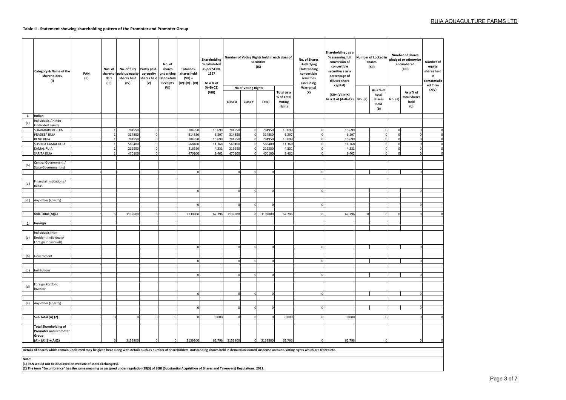## **Table II - Statement showing shareholding pattern of the Promoter and Promoter Group**

|              | Category & Name of the<br>shareholders<br>(1)                                                                                                                                                                  | PAN<br>(II) | Nos. of<br>sharehol<br>ders<br>(III) | No. of fully<br>paid up equity<br>shares held<br>(IV) | Partly paid-<br>up equity<br>shares held<br>(V) | No. of<br>shares<br>underlying<br>Depository<br>Receipts | Total nos.<br>shares held<br>$(VII) =$<br>(IV)+(V)+ (VI) | Shareholding<br>% calculated<br>as per SCRR,<br>1957<br>As a % of |                  |                                | Number of Voting Rights held in each class of<br>securities<br>(IX) |                                              | No. of Shares<br>Underlying<br>Outstanding<br>convertible<br>securities<br>(including | Shareholding, as a<br>% assuming full<br>conversion of<br>convertible<br>securities (as a<br>percentage of<br>diluted share<br>capital) | Number of Locked in<br>shares<br>(XII) |                                             | <b>Number of Shares</b><br>pledged or otherwise<br>encumbered<br>(XIII) | Number of<br>equity<br>shares held<br>in<br>dematerializ<br>ed form |       |
|--------------|----------------------------------------------------------------------------------------------------------------------------------------------------------------------------------------------------------------|-------------|--------------------------------------|-------------------------------------------------------|-------------------------------------------------|----------------------------------------------------------|----------------------------------------------------------|-------------------------------------------------------------------|------------------|--------------------------------|---------------------------------------------------------------------|----------------------------------------------|---------------------------------------------------------------------------------------|-----------------------------------------------------------------------------------------------------------------------------------------|----------------------------------------|---------------------------------------------|-------------------------------------------------------------------------|---------------------------------------------------------------------|-------|
|              |                                                                                                                                                                                                                |             |                                      |                                                       |                                                 | (VI)                                                     |                                                          | $(A+B+C2)$<br>(VIII)                                              | Class X          | No of Voting Rights<br>Class Y | Total                                                               | Total as a<br>% of Total<br>Voting<br>rights | <b>Warrants)</b><br>(X)                                                               | $(XI) = (VII)+(X)$<br>As a % of (A+B+C2) No. (a)                                                                                        |                                        | As a % of<br>total<br>Shares<br>held<br>(b) | No. (a)                                                                 | As a % of<br>total Shares<br>held<br>(b)                            | (XIV) |
| $\mathbf{1}$ | Indian                                                                                                                                                                                                         |             |                                      |                                                       |                                                 |                                                          |                                                          |                                                                   |                  |                                |                                                                     |                                              |                                                                                       |                                                                                                                                         |                                        |                                             |                                                                         |                                                                     |       |
|              | Individuals / Hindu                                                                                                                                                                                            |             |                                      |                                                       |                                                 |                                                          |                                                          |                                                                   |                  |                                |                                                                     |                                              |                                                                                       |                                                                                                                                         |                                        |                                             |                                                                         |                                                                     |       |
| (a)          | <b>Jndivided Family</b>                                                                                                                                                                                        |             |                                      |                                                       |                                                 |                                                          |                                                          |                                                                   |                  |                                |                                                                     |                                              |                                                                                       |                                                                                                                                         |                                        |                                             |                                                                         |                                                                     |       |
|              | SHARADADEVI RUIA                                                                                                                                                                                               |             |                                      | 784950                                                | $\Omega$                                        |                                                          | 784950                                                   | 15.699                                                            | 784950           | $\Omega$                       | 784950                                                              | 15.699                                       |                                                                                       | 15.699                                                                                                                                  |                                        | C                                           | <sub>r</sub>                                                            | C                                                                   |       |
|              | PRADEEP RUIA                                                                                                                                                                                                   |             |                                      | 314850                                                | $\overline{0}$                                  |                                                          | 314850                                                   | 6.297                                                             | 314850           |                                | 314850                                                              | 6.297                                        |                                                                                       | 6.297                                                                                                                                   |                                        | C                                           |                                                                         | $\Omega$<br>$\Omega$                                                |       |
|              | <b>RENU RUIA</b>                                                                                                                                                                                               |             |                                      | 784950<br>568400                                      | $\mathbf 0$                                     |                                                          | 78495<br>568400                                          | 15.699                                                            | 784950<br>568400 |                                | 784950<br>568400                                                    | 15.699                                       |                                                                                       | 15.699<br>11.368                                                                                                                        |                                        | C                                           | $\sqrt{ }$                                                              | $\Omega$                                                            |       |
|              | SUSHILA KAMAL RUIA<br>KAMAL RUIA                                                                                                                                                                               |             |                                      | 216550                                                | $\mathbf 0$<br>$\mathbf 0$                      |                                                          | 216550                                                   | 11.368<br>4.331                                                   | 216550           | $\Omega$<br>$\Omega$           | 216550                                                              | 11.368<br>4.331                              |                                                                                       | 4.331                                                                                                                                   |                                        | $\Omega$                                    | $\Omega$                                                                | $\Omega$                                                            |       |
|              | SARITA RUIA                                                                                                                                                                                                    |             |                                      | 470100                                                | $\overline{0}$                                  |                                                          | 470100                                                   | 9.402                                                             | 470100           | $\Omega$                       | 470100                                                              | 9.402                                        |                                                                                       | 9.402                                                                                                                                   |                                        | $\Omega$                                    | $\Omega$                                                                | $\Omega$                                                            |       |
|              |                                                                                                                                                                                                                |             |                                      |                                                       |                                                 |                                                          |                                                          |                                                                   |                  |                                |                                                                     |                                              |                                                                                       |                                                                                                                                         |                                        |                                             |                                                                         |                                                                     |       |
| (b)          | Central Government /<br>State Government (s)                                                                                                                                                                   |             |                                      |                                                       |                                                 |                                                          |                                                          |                                                                   | $\Omega$         | $\Omega$                       | $\Omega$                                                            |                                              |                                                                                       |                                                                                                                                         |                                        |                                             |                                                                         |                                                                     |       |
|              |                                                                                                                                                                                                                |             |                                      |                                                       |                                                 |                                                          |                                                          |                                                                   |                  |                                |                                                                     |                                              |                                                                                       |                                                                                                                                         |                                        |                                             |                                                                         |                                                                     |       |
| (c )         | Financial Institutions /<br>Banks                                                                                                                                                                              |             |                                      |                                                       |                                                 |                                                          |                                                          |                                                                   |                  | $\Omega$                       | $\Omega$                                                            |                                              |                                                                                       |                                                                                                                                         |                                        |                                             |                                                                         |                                                                     |       |
| (d)          | Any other (specify)                                                                                                                                                                                            |             |                                      |                                                       |                                                 |                                                          |                                                          |                                                                   |                  |                                |                                                                     |                                              |                                                                                       |                                                                                                                                         |                                        |                                             |                                                                         |                                                                     |       |
|              |                                                                                                                                                                                                                |             |                                      |                                                       |                                                 |                                                          |                                                          |                                                                   |                  |                                |                                                                     |                                              |                                                                                       |                                                                                                                                         |                                        |                                             |                                                                         |                                                                     |       |
|              |                                                                                                                                                                                                                |             |                                      |                                                       |                                                 |                                                          |                                                          |                                                                   |                  |                                |                                                                     |                                              |                                                                                       |                                                                                                                                         |                                        |                                             |                                                                         |                                                                     |       |
|              | Sub-Total (A)(1)                                                                                                                                                                                               |             |                                      | 3139800                                               | $\Omega$                                        |                                                          | 3139800                                                  | 62.796                                                            | 3139800          | $\Omega$                       | 3139800                                                             | 62.796                                       |                                                                                       | 62.796                                                                                                                                  |                                        |                                             |                                                                         |                                                                     |       |
|              |                                                                                                                                                                                                                |             |                                      |                                                       |                                                 |                                                          |                                                          |                                                                   |                  |                                |                                                                     |                                              |                                                                                       |                                                                                                                                         |                                        |                                             |                                                                         |                                                                     |       |
|              | 2 Foreign                                                                                                                                                                                                      |             |                                      |                                                       |                                                 |                                                          |                                                          |                                                                   |                  |                                |                                                                     |                                              |                                                                                       |                                                                                                                                         |                                        |                                             |                                                                         |                                                                     |       |
| (a)          | Individuals (Non-<br>Resident Individuals/<br>Foreign Individuals)                                                                                                                                             |             |                                      |                                                       |                                                 |                                                          |                                                          |                                                                   |                  |                                | $\Omega$                                                            |                                              |                                                                                       |                                                                                                                                         |                                        |                                             |                                                                         |                                                                     |       |
|              |                                                                                                                                                                                                                |             |                                      |                                                       |                                                 |                                                          |                                                          |                                                                   |                  |                                |                                                                     |                                              |                                                                                       |                                                                                                                                         |                                        |                                             |                                                                         |                                                                     |       |
|              | (b) Government                                                                                                                                                                                                 |             |                                      |                                                       |                                                 |                                                          |                                                          |                                                                   |                  |                                | $\mathbf 0$                                                         |                                              |                                                                                       |                                                                                                                                         |                                        |                                             |                                                                         |                                                                     |       |
|              |                                                                                                                                                                                                                |             |                                      |                                                       |                                                 |                                                          |                                                          |                                                                   |                  |                                |                                                                     |                                              |                                                                                       |                                                                                                                                         |                                        |                                             |                                                                         |                                                                     |       |
|              | (c) Institutions                                                                                                                                                                                               |             |                                      |                                                       |                                                 |                                                          |                                                          |                                                                   |                  |                                |                                                                     |                                              |                                                                                       |                                                                                                                                         |                                        |                                             |                                                                         |                                                                     |       |
|              |                                                                                                                                                                                                                |             |                                      |                                                       |                                                 |                                                          | $\Omega$                                                 |                                                                   |                  |                                | $\mathbf 0$                                                         |                                              |                                                                                       |                                                                                                                                         |                                        |                                             |                                                                         |                                                                     |       |
|              |                                                                                                                                                                                                                |             |                                      |                                                       |                                                 |                                                          |                                                          |                                                                   |                  |                                |                                                                     |                                              |                                                                                       |                                                                                                                                         |                                        |                                             |                                                                         |                                                                     |       |
| (d)          | Foreign Portfolio                                                                                                                                                                                              |             |                                      |                                                       |                                                 |                                                          |                                                          |                                                                   |                  |                                |                                                                     |                                              |                                                                                       |                                                                                                                                         |                                        |                                             |                                                                         |                                                                     |       |
|              | nvestor                                                                                                                                                                                                        |             |                                      |                                                       |                                                 |                                                          |                                                          |                                                                   |                  |                                | $\Omega$                                                            |                                              |                                                                                       |                                                                                                                                         |                                        |                                             |                                                                         |                                                                     |       |
|              |                                                                                                                                                                                                                |             |                                      |                                                       |                                                 |                                                          |                                                          |                                                                   |                  |                                |                                                                     |                                              |                                                                                       |                                                                                                                                         |                                        |                                             |                                                                         |                                                                     |       |
|              | (e) Any other (specify)                                                                                                                                                                                        |             |                                      |                                                       |                                                 |                                                          |                                                          |                                                                   |                  |                                |                                                                     |                                              |                                                                                       |                                                                                                                                         |                                        |                                             |                                                                         |                                                                     |       |
|              |                                                                                                                                                                                                                |             |                                      |                                                       |                                                 |                                                          |                                                          |                                                                   |                  |                                | $\mathbf 0$                                                         |                                              |                                                                                       |                                                                                                                                         |                                        |                                             |                                                                         |                                                                     |       |
|              |                                                                                                                                                                                                                |             |                                      |                                                       |                                                 |                                                          |                                                          |                                                                   |                  |                                |                                                                     |                                              |                                                                                       |                                                                                                                                         |                                        |                                             |                                                                         |                                                                     |       |
|              | Sub Total (A) (2)                                                                                                                                                                                              |             |                                      |                                                       | $\Omega$                                        |                                                          |                                                          | 0.000                                                             |                  |                                | $\Omega$                                                            | 0.000                                        |                                                                                       | 0.000                                                                                                                                   |                                        | C                                           |                                                                         |                                                                     |       |
|              | <b>Total Shareholding of</b><br><b>Promoter and Promoter</b><br>Group<br>$(A)=(A)(1)+(A)(2)$                                                                                                                   |             |                                      | 3139800                                               | $\mathbf 0$                                     |                                                          | 3139800                                                  | 62.796                                                            | 3139800          | $\Omega$                       | 3139800                                                             | 62.796                                       |                                                                                       | 62.796                                                                                                                                  |                                        |                                             |                                                                         |                                                                     |       |
|              | Details of Shares which remain unclaimed may be given hear along with details such as number of shareholders, outstanding shares held in demat/unclaimed suspense account, voting rights which are frozen etc. |             |                                      |                                                       |                                                 |                                                          |                                                          |                                                                   |                  |                                |                                                                     |                                              |                                                                                       |                                                                                                                                         |                                        |                                             |                                                                         |                                                                     |       |
|              |                                                                                                                                                                                                                |             |                                      |                                                       |                                                 |                                                          |                                                          |                                                                   |                  |                                |                                                                     |                                              |                                                                                       |                                                                                                                                         |                                        |                                             |                                                                         |                                                                     |       |
| Note:        | (1) PAN would not be displayed on website of Stock Exchange(s).<br>(2) The term "Encumbrance" has the same meaning as assign                                                                                   |             |                                      |                                                       | mulation 70(2) of CERL (Cubetantial             |                                                          |                                                          |                                                                   |                  | re) Poquiatione                |                                                                     |                                              |                                                                                       |                                                                                                                                         |                                        |                                             |                                                                         |                                                                     |       |

(1) PAN would not be displayed on website of Stock Exchange(s).<br>(2) The term "Encumbrance" has the same meaning as assigned under regulation 28(3) of SEBI (Substantial Acquisition of Shares and Takeovers) Regulations, 2011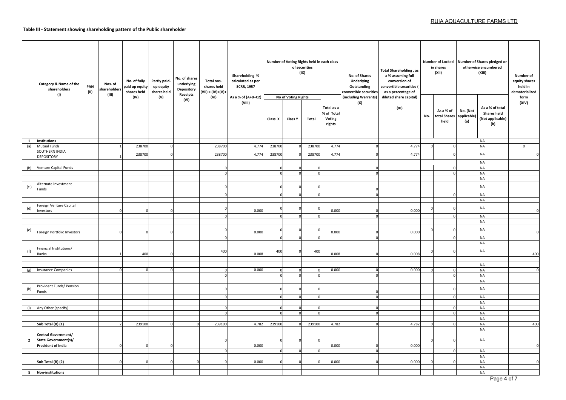## **Table III - Statement showing shareholding pattern of the Public shareholder**

|                     | Category & Name of the<br>shareholders<br>(1)      | PAN<br>(II) | Nos. of<br>shareholders<br>(III) | No. of fully<br>paid up equity<br>shares held | Partly paid-<br>up equity<br>shares held | No. of shares<br>underlying<br>Depository<br><b>Receipts</b> | Total nos.<br>shares held<br>(VII) = (IV)+(V)+ | Shareholding %<br>calculated as per<br><b>SCRR, 1957</b> |          |                                | Number of Voting Rights held in each class<br>of securities<br>(IX) |                                              | No. of Shares<br><b>Underlying</b><br>Outstanding<br>convertible securities | <b>Total Shareholding, as</b><br>a % assuming full<br>conversion of<br>convertible securities (<br>as a percentage of |            | in shares<br>(XII)                | Number of Locked Number of Shares pledged or<br>otherwise encumbered<br>(XIII)                     | Number of<br>equity shares<br>held in<br>dematerialized |
|---------------------|----------------------------------------------------|-------------|----------------------------------|-----------------------------------------------|------------------------------------------|--------------------------------------------------------------|------------------------------------------------|----------------------------------------------------------|----------|--------------------------------|---------------------------------------------------------------------|----------------------------------------------|-----------------------------------------------------------------------------|-----------------------------------------------------------------------------------------------------------------------|------------|-----------------------------------|----------------------------------------------------------------------------------------------------|---------------------------------------------------------|
|                     |                                                    |             |                                  | (IV)                                          | (V)                                      | (VI)                                                         | (VI)                                           | As a % of (A+B+C2)<br>(VIII)                             | Class X  | No of Voting Rights<br>Class Y | Total                                                               | Total as a<br>% of Total<br>Voting<br>rights | (including Warrants)<br>(X)                                                 | diluted share capital)<br>(XI)                                                                                        | No.        | As a % of<br>total Shares<br>held | As a % of total<br>No. (Not<br><b>Shares held</b><br>applicable)<br>(Not applicable)<br>(a)<br>(b) | form<br>(XIV)                                           |
| $\mathbf{1}$<br>(a) | <b>Institutions</b><br><b>Mutual Funds</b>         |             |                                  | 238700                                        | $\mathbf 0$                              |                                                              | 238700                                         | 4.774                                                    | 238700   |                                | 238700                                                              | 4.774                                        |                                                                             | 4.774                                                                                                                 | $\Omega$   | $\Omega$                          | <b>NA</b><br><b>NA</b>                                                                             | $\mathsf{0}$                                            |
|                     | SOUTHERN INDIA                                     |             |                                  |                                               |                                          |                                                              |                                                |                                                          |          |                                |                                                                     |                                              |                                                                             |                                                                                                                       |            |                                   |                                                                                                    |                                                         |
|                     | DEPOSITORY                                         |             |                                  | 238700                                        |                                          |                                                              | 238700                                         | 4.774                                                    | 238700   |                                | 238700                                                              | 4.774                                        |                                                                             | 4.774                                                                                                                 |            |                                   | <b>NA</b>                                                                                          |                                                         |
|                     |                                                    |             |                                  |                                               |                                          |                                                              |                                                |                                                          |          |                                |                                                                     |                                              |                                                                             |                                                                                                                       |            |                                   | <b>NA</b>                                                                                          |                                                         |
| (b)                 | Venture Capital Funds                              |             |                                  |                                               |                                          |                                                              | $\Omega$<br>$\Omega$                           |                                                          |          |                                | $\Omega$<br>$\Omega$                                                |                                              | $\Omega$<br>$\Omega$                                                        |                                                                                                                       |            | $\Omega$<br>$\Omega$              | <b>NA</b>                                                                                          |                                                         |
|                     |                                                    |             |                                  |                                               |                                          |                                                              |                                                |                                                          |          |                                |                                                                     |                                              |                                                                             |                                                                                                                       |            |                                   | <b>NA</b><br><b>NA</b>                                                                             |                                                         |
| (c)                 | Alternate Investment<br>Funds                      |             |                                  |                                               |                                          |                                                              |                                                |                                                          |          |                                |                                                                     |                                              |                                                                             |                                                                                                                       |            |                                   | <b>NA</b>                                                                                          |                                                         |
|                     |                                                    |             |                                  |                                               |                                          |                                                              | $\Omega$                                       |                                                          |          |                                | $\Omega$                                                            |                                              | $\Omega$                                                                    |                                                                                                                       |            | $\Omega$                          | <b>NA</b>                                                                                          |                                                         |
|                     |                                                    |             |                                  |                                               |                                          |                                                              |                                                |                                                          |          |                                |                                                                     |                                              |                                                                             |                                                                                                                       |            |                                   | <b>NA</b>                                                                                          |                                                         |
| (d)                 | Foreign Venture Capital<br>Investors               |             |                                  |                                               |                                          |                                                              |                                                | 0.000                                                    |          |                                |                                                                     | 0.000                                        |                                                                             | 0.000                                                                                                                 | $\sqrt{ }$ |                                   | <b>NA</b>                                                                                          |                                                         |
|                     |                                                    |             |                                  |                                               |                                          |                                                              |                                                |                                                          |          |                                |                                                                     |                                              |                                                                             |                                                                                                                       |            | $\Omega$                          | <b>NA</b>                                                                                          |                                                         |
|                     |                                                    |             |                                  |                                               |                                          |                                                              |                                                |                                                          |          |                                |                                                                     |                                              |                                                                             |                                                                                                                       |            |                                   | <b>NA</b>                                                                                          |                                                         |
| (e)                 | Foreign Portfolio Investors                        |             |                                  |                                               |                                          |                                                              |                                                | 0.000                                                    |          |                                |                                                                     | 0.000                                        |                                                                             | 0.000                                                                                                                 |            |                                   | <b>NA</b>                                                                                          | $\sqrt{ }$                                              |
|                     |                                                    |             |                                  |                                               |                                          |                                                              |                                                |                                                          |          |                                |                                                                     |                                              |                                                                             |                                                                                                                       |            |                                   | <b>NA</b>                                                                                          |                                                         |
|                     |                                                    |             |                                  |                                               |                                          |                                                              |                                                |                                                          |          |                                |                                                                     |                                              |                                                                             |                                                                                                                       |            |                                   | <b>NA</b>                                                                                          |                                                         |
| (f)                 | Financial Institutions/<br><b>Banks</b>            |             |                                  | 400                                           |                                          |                                                              | 400                                            | 0.008                                                    | 400      |                                | 400                                                                 | 0.008                                        |                                                                             | 0.008                                                                                                                 |            |                                   | <b>NA</b>                                                                                          | 400                                                     |
|                     |                                                    |             |                                  |                                               |                                          |                                                              |                                                |                                                          |          |                                |                                                                     |                                              |                                                                             |                                                                                                                       |            |                                   |                                                                                                    |                                                         |
| (g)                 | <b>Insurance Companies</b>                         |             |                                  |                                               |                                          |                                                              |                                                | 0.000                                                    |          |                                |                                                                     | 0.000                                        |                                                                             | 0.000                                                                                                                 |            | $\Omega$                          | <b>NA</b><br><b>NA</b>                                                                             | $\mathbf 0$                                             |
|                     |                                                    |             |                                  |                                               |                                          |                                                              | $\Omega$                                       |                                                          |          |                                | $\Omega$                                                            |                                              | $\Omega$                                                                    |                                                                                                                       |            | $\Omega$                          | <b>NA</b>                                                                                          |                                                         |
|                     |                                                    |             |                                  |                                               |                                          |                                                              |                                                |                                                          |          |                                |                                                                     |                                              |                                                                             |                                                                                                                       |            |                                   | <b>NA</b>                                                                                          |                                                         |
| (h)                 | Provident Funds/ Pension<br>Funds                  |             |                                  |                                               |                                          |                                                              |                                                |                                                          |          |                                |                                                                     |                                              |                                                                             |                                                                                                                       |            |                                   | <b>NA</b>                                                                                          |                                                         |
|                     |                                                    |             |                                  |                                               |                                          |                                                              |                                                |                                                          |          |                                |                                                                     |                                              |                                                                             |                                                                                                                       |            | $\Omega$                          | <b>NA</b>                                                                                          |                                                         |
|                     |                                                    |             |                                  |                                               |                                          |                                                              |                                                |                                                          |          |                                |                                                                     |                                              |                                                                             |                                                                                                                       |            |                                   | <b>NA</b>                                                                                          |                                                         |
| (i)                 | Any Other (specify)                                |             |                                  |                                               |                                          |                                                              | $\Omega$                                       |                                                          | $\Omega$ |                                | $\Omega$                                                            |                                              |                                                                             |                                                                                                                       |            | $\Omega$<br>$\Omega$              | <b>NA</b>                                                                                          |                                                         |
|                     |                                                    |             |                                  |                                               |                                          |                                                              |                                                |                                                          |          |                                |                                                                     |                                              |                                                                             |                                                                                                                       |            |                                   | <b>NA</b><br><b>NA</b>                                                                             |                                                         |
|                     | Sub Total (B) (1)                                  |             |                                  | 239100                                        |                                          |                                                              | 239100                                         | 4.782                                                    | 239100   |                                | 239100                                                              | 4.782                                        |                                                                             | 4.782                                                                                                                 |            | $\Omega$                          | <b>NA</b>                                                                                          | 400                                                     |
|                     |                                                    |             |                                  |                                               |                                          |                                                              |                                                |                                                          |          |                                |                                                                     |                                              |                                                                             |                                                                                                                       |            |                                   | <b>NA</b>                                                                                          |                                                         |
| $\overline{2}$      | Central Government/<br><b>State Government(s)/</b> |             |                                  |                                               |                                          |                                                              |                                                |                                                          |          |                                |                                                                     |                                              |                                                                             |                                                                                                                       |            |                                   | <b>NA</b>                                                                                          |                                                         |
|                     | President of India                                 |             |                                  |                                               |                                          |                                                              |                                                | 0.000                                                    |          |                                |                                                                     | 0.000                                        |                                                                             | 0.000                                                                                                                 |            |                                   |                                                                                                    | $\Omega$                                                |
|                     |                                                    |             |                                  |                                               |                                          |                                                              |                                                |                                                          |          |                                |                                                                     |                                              |                                                                             |                                                                                                                       |            | $\Omega$                          | <b>NA</b>                                                                                          |                                                         |
|                     | Sub Total (B) (2)                                  |             |                                  | $\Omega$                                      |                                          |                                                              |                                                | 0.000                                                    |          |                                |                                                                     | 0.000                                        |                                                                             | 0.000                                                                                                                 |            |                                   | <b>NA</b><br><b>NA</b>                                                                             | $\mathbf 0$                                             |
|                     |                                                    |             |                                  |                                               |                                          |                                                              |                                                |                                                          |          |                                |                                                                     |                                              |                                                                             |                                                                                                                       |            |                                   | <b>NA</b>                                                                                          |                                                         |
|                     | 3 Non-institutions                                 |             |                                  |                                               |                                          |                                                              |                                                |                                                          |          |                                |                                                                     |                                              |                                                                             |                                                                                                                       |            |                                   | <b>NA</b>                                                                                          |                                                         |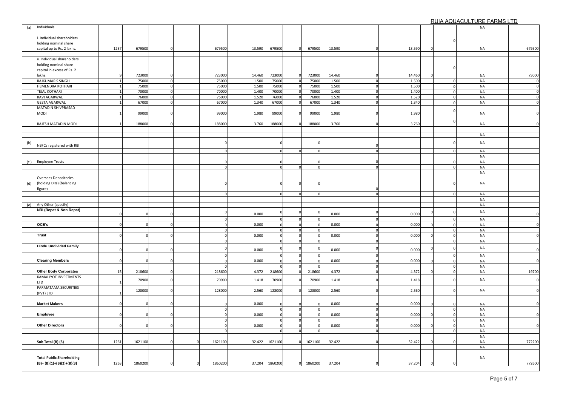RUIA AQUACULTURE FARMS LTD

| (a) | Individuals                      |             |          |                |         |        |             |              |          |        |                |        |                | <b>NA</b> |        |
|-----|----------------------------------|-------------|----------|----------------|---------|--------|-------------|--------------|----------|--------|----------------|--------|----------------|-----------|--------|
|     |                                  |             |          |                |         |        |             |              |          |        |                |        |                |           |        |
|     | Individual shareholders          |             |          |                |         |        |             |              |          |        |                |        |                |           |        |
|     | holding nominal share            |             |          |                |         |        |             |              |          |        |                |        |                |           |        |
|     | capital up to Rs. 2 lakhs.       | 1237        | 679500   |                | 679500  | 13.590 | 679500      | $\Omega$     | 679500   | 13.590 |                | 13.590 |                | <b>NA</b> | 679500 |
|     |                                  |             |          |                |         |        |             |              |          |        |                |        |                |           |        |
|     | ii. Individual shareholders      |             |          |                |         |        |             |              |          |        |                |        |                |           |        |
|     | holding nominal share            |             |          |                |         |        |             |              |          |        |                |        |                |           |        |
|     | capital in excess of Rs. 2       |             |          |                |         |        |             |              |          |        |                |        |                |           |        |
|     | lakhs.                           |             | 723000   |                | 723000  | 14.460 | 723000      | $\Omega$     | 723000   | 14.460 |                | 14.460 |                | <b>NA</b> | 73000  |
|     | RAJKUMAR S SINGH                 |             | 75000    | $\mathbf 0$    | 75000   | 1.500  | 75000       | $\mathbf 0$  | 75000    | 1.500  | $\Omega$       | 1.500  | $\Omega$       | <b>NA</b> |        |
|     | HEMENDRA KOTHARI                 |             | 75000    | $\mathbf 0$    | 75000   | 1.500  | 75000       | $\mathbf{0}$ | 75000    | 1.500  | $\Omega$       | 1.500  | $\Omega$       | <b>NA</b> |        |
|     | <b>TEJAL KOTHARI</b>             |             | 70000    | $\mathbf 0$    | 70000   | 1.400  | 70000       |              | 70000    | 1.400  | $\Omega$       | 1.400  | $\Omega$       | <b>NA</b> |        |
|     | RAVI AGARWAL                     |             | 76000    | $\mathbf 0$    | 76000   | 1.520  | 76000       | $\mathbf 0$  | 76000    | 1.520  | $\mathbf 0$    | 1.520  | $\overline{0}$ | <b>NA</b> |        |
|     | <b>GEETA AGARWAL</b>             |             | 67000    | $\Omega$       | 67000   | 1.340  | 67000       |              | 67000    | 1.340  | $\Omega$       | 1.340  |                | <b>NA</b> |        |
|     | MATADIN SHIVPRASAD               |             |          |                |         |        |             |              |          |        |                |        |                |           |        |
|     | MODI                             |             | 99000    | $\Omega$       | 99000   | 1.980  | 99000       |              | 99000    | 1.980  |                | 1.980  |                | <b>NA</b> |        |
|     |                                  |             |          |                |         |        |             |              |          |        |                |        |                |           |        |
|     | RAJESH MATADIN MODI              |             | 188000   |                | 188000  | 3.760  | 188000      |              | 188000   | 3.760  |                | 3.760  |                | <b>NA</b> |        |
|     |                                  |             |          |                |         |        |             |              |          |        |                |        |                |           |        |
|     |                                  |             |          |                |         |        |             |              |          |        |                |        |                | <b>NA</b> |        |
|     |                                  |             |          |                |         |        |             |              |          |        |                |        |                |           |        |
| (b) | NBFCs registered with RBI        |             |          |                |         |        |             |              |          |        |                |        |                | <b>NA</b> |        |
|     |                                  |             |          |                |         |        | $\Omega$    |              | $\Omega$ |        | $\overline{0}$ |        | $\Omega$       | <b>NA</b> |        |
|     |                                  |             |          |                |         |        |             |              |          |        |                |        |                | <b>NA</b> |        |
|     | (c) Employee Trusts              |             |          |                |         |        | $\Omega$    |              |          |        | $\Omega$       |        |                | <b>NA</b> |        |
|     |                                  |             |          |                |         |        | $\Omega$    |              |          |        | $\Omega$       |        | $\Omega$       | <b>NA</b> |        |
|     |                                  |             |          |                |         |        |             |              |          |        |                |        |                | <b>NA</b> |        |
|     | Overseas Depositories            |             |          |                |         |        |             |              |          |        |                |        |                |           |        |
|     | (holding DRs) (balancing         |             |          |                |         |        |             |              |          |        |                |        |                | <b>NA</b> |        |
| (d) | figure)                          |             |          |                |         |        |             |              |          |        |                |        |                |           |        |
|     |                                  |             |          |                |         |        |             |              |          |        | $\Omega$       |        |                | <b>NA</b> |        |
|     |                                  |             |          |                |         |        |             |              |          |        |                |        |                | <b>NA</b> |        |
|     | (e) Any Other (specify)          |             |          |                |         |        |             |              |          |        |                |        |                | <b>NA</b> |        |
|     | NRI (Repat & Non Repat)          |             |          |                |         |        |             |              |          |        |                |        |                |           |        |
|     |                                  |             |          |                |         | 0.000  |             |              |          | 0.000  |                | 0.000  |                | <b>NA</b> |        |
|     |                                  |             |          |                |         |        | $\mathbf 0$ |              |          |        |                |        | 0              | <b>NA</b> |        |
|     | OCB's                            | $\Omega$    |          |                |         | 0.000  |             |              |          | 0.000  |                | 0.000  |                | <b>NA</b> |        |
|     |                                  |             |          |                |         |        | $\Omega$    | $\mathbf 0$  |          |        |                |        | $\Omega$       | <b>NA</b> |        |
|     | <b>Trust</b>                     | $\Omega$    |          |                |         | 0.000  | $\Omega$    | $\mathbf 0$  | $\Omega$ | 0.000  |                | 0.000  | $\Omega$       | <b>NA</b> |        |
|     |                                  |             |          |                |         |        |             |              |          |        |                |        |                | <b>NA</b> |        |
|     | <b>Hindu Undivided Family</b>    |             |          |                |         |        |             |              |          |        |                |        |                | <b>NA</b> |        |
|     |                                  | $\sqrt{ }$  |          |                |         | 0.000  |             |              |          | 0.000  |                | 0.000  |                |           |        |
|     |                                  |             |          |                |         |        |             |              |          |        |                |        |                | <b>NA</b> |        |
|     | <b>Clearing Members</b>          | $\mathbf 0$ | $\Omega$ | $\mathbf 0$    |         | 0.000  | $\Omega$    | $\Omega$     |          | 0.000  | $\Omega$       | 0.000  | $\mathbf 0$    | <b>NA</b> |        |
|     |                                  |             |          |                |         |        |             |              |          |        |                |        |                | <b>NA</b> |        |
|     | <b>Other Body Corporates</b>     | 15          | 218600   | $\mathbf 0$    | 218600  | 4.372  | 218600      | $\mathbf 0$  | 218600   | 4.372  |                | 4.372  |                | <b>NA</b> | 19700  |
|     | KAMALIYOT INVESTMENTS            |             | 70900    | $\mathbf 0$    | 70900   | 1.418  | 70900       |              | 70900    | 1.418  |                | 1.418  |                | <b>NA</b> |        |
|     | LTD                              |             |          |                |         |        |             |              |          |        |                |        |                |           |        |
|     | PARMATAMA SECURITIES             |             | 128000   | $\overline{0}$ | 128000  | 2.560  | 128000      |              | 128000   | 2.560  |                | 2.560  |                | <b>NA</b> |        |
|     | (PVT) LTD                        |             |          |                |         |        |             |              |          |        |                |        |                |           |        |
|     |                                  |             |          |                |         |        |             |              |          |        |                |        |                |           |        |
|     | <b>Market Makers</b>             | $\Omega$    |          |                |         | 0.000  | $\Omega$    |              |          | 0.000  |                | 0.000  |                | <b>NA</b> |        |
|     |                                  |             |          |                |         |        | $\Omega$    | $\mathbf{0}$ |          |        |                |        | $\Omega$       | <b>NA</b> |        |
|     | Employee                         |             |          |                |         | 0.000  |             | $\mathbf 0$  |          | 0.000  |                | 0.000  |                | <b>NA</b> |        |
|     |                                  |             |          |                |         |        | $\Omega$    | $\mathbf{0}$ |          |        | $\Omega$       |        |                | <b>NA</b> |        |
|     | <b>Other Directors</b>           | $\Omega$    | $\Omega$ | $\Omega$       |         | 0.000  | $\Omega$    | $\mathbf 0$  |          | 0.000  | $\Omega$       | 0.000  | $\Omega$       | <b>NA</b> |        |
|     |                                  |             |          |                |         |        |             | $\Omega$     |          |        |                |        | $\Omega$       | <b>NA</b> |        |
|     |                                  |             |          |                |         |        |             |              |          |        |                |        |                | <b>NA</b> |        |
|     | Sub Total (B) (3)                | 1261        | 1621100  |                | 1621100 | 32.422 | 1621100     |              | 1621100  | 32.422 |                | 32.422 |                | <b>NA</b> | 772200 |
|     |                                  |             |          |                |         |        |             |              |          |        |                |        |                | <b>NA</b> |        |
|     |                                  |             |          |                |         |        |             |              |          |        |                |        |                |           |        |
|     | <b>Total Public Shareholding</b> |             |          |                |         |        |             |              |          |        |                |        |                | NA        |        |
|     | $(B)=(B)(1)+(B)(2)+(B)(3)$       | 1263        | 1860200  |                | 1860200 | 37.204 | 1860200     | $\mathbf{0}$ | 1860200  | 37.204 |                | 37.204 |                |           | 772600 |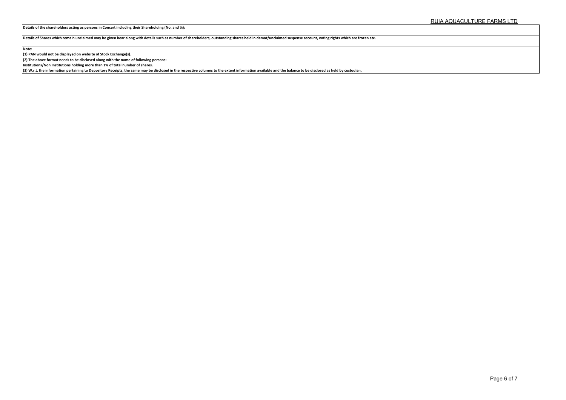**Details of the shareholders acting as persons in Concert including their Shareholding (No. and %):**

**Details of Shares which remain unclaimed may be given hear along with details such as number of shareholders, outstanding shares held in demat/unclaimed suspense account, voting rights which are frozen etc.**

**Note:**

**(1) PAN would not be displayed on website of Stock Exchange(s).**

**(2) The above format needs to be disclosed along with the name of following persons:**

**Institutions/Non Institutions holding more than 1% of total number of shares.**

**(3) W.r.t. the information pertaining to Depository Receipts, the same may be disclosed in the respective columns to the extent information available and the balance to be disclosed as held by custodian.**